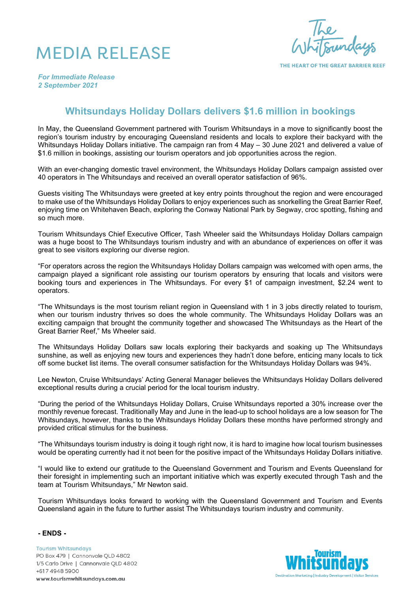## MEDIA RELEASE

re<br>Frundaus

THE HEART OF THE GREAT BARRIER REEF

*For Immediate Release 2 September 2021*

## **Whitsundays Holiday Dollars delivers \$1.6 million in bookings**

In May, the Queensland Government partnered with Tourism Whitsundays in a move to significantly boost the region's tourism industry by encouraging Queensland residents and locals to explore their backyard with the Whitsundays Holiday Dollars initiative. The campaign ran from 4 May – 30 June 2021 and delivered a value of \$1.6 million in bookings, assisting our tourism operators and job opportunities across the region.

With an ever-changing domestic travel environment, the Whitsundays Holiday Dollars campaign assisted over 40 operators in The Whitsundays and received an overall operator satisfaction of 96%.

Guests visiting The Whitsundays were greeted at key entry points throughout the region and were encouraged to make use of the Whitsundays Holiday Dollars to enjoy experiences such as snorkelling the Great Barrier Reef, enjoying time on Whitehaven Beach, exploring the Conway National Park by Segway, croc spotting, fishing and so much more.

Tourism Whitsundays Chief Executive Officer, Tash Wheeler said the Whitsundays Holiday Dollars campaign was a huge boost to The Whitsundays tourism industry and with an abundance of experiences on offer it was great to see visitors exploring our diverse region.

"For operators across the region the Whitsundays Holiday Dollars campaign was welcomed with open arms, the campaign played a significant role assisting our tourism operators by ensuring that locals and visitors were booking tours and experiences in The Whitsundays. For every \$1 of campaign investment, \$2.24 went to operators.

"The Whitsundays is the most tourism reliant region in Queensland with 1 in 3 jobs directly related to tourism, when our tourism industry thrives so does the whole community. The Whitsundays Holiday Dollars was an exciting campaign that brought the community together and showcased The Whitsundays as the Heart of the Great Barrier Reef," Ms Wheeler said.

The Whitsundays Holiday Dollars saw locals exploring their backyards and soaking up The Whitsundays sunshine, as well as enjoying new tours and experiences they hadn't done before, enticing many locals to tick off some bucket list items. The overall consumer satisfaction for the Whitsundays Holiday Dollars was 94%.

Lee Newton, Cruise Whitsundays' Acting General Manager believes the Whitsundays Holiday Dollars delivered exceptional results during a crucial period for the local tourism industry.

"During the period of the Whitsundays Holiday Dollars, Cruise Whitsundays reported a 30% increase over the monthly revenue forecast. Traditionally May and June in the lead-up to school holidays are a low season for The Whitsundays, however, thanks to the Whitsundays Holiday Dollars these months have performed strongly and provided critical stimulus for the business.

"The Whitsundays tourism industry is doing it tough right now, it is hard to imagine how local tourism businesses would be operating currently had it not been for the positive impact of the Whitsundays Holiday Dollars initiative.

"I would like to extend our gratitude to the Queensland Government and Tourism and Events Queensland for their foresight in implementing such an important initiative which was expertly executed through Tash and the team at Tourism Whitsundays," Mr Newton said.

Tourism Whitsundays looks forward to working with the Queensland Government and Tourism and Events Queensland again in the future to further assist The Whitsundays tourism industry and community.

**- ENDS -**

**Tourism Whitsundays** PO Box 479 | Cannonvale QLD 4802 1/5 Carlo Drive | Cannonvale QLD 4802 +617 4948 5900 www.tourismwhitsundays.com.au